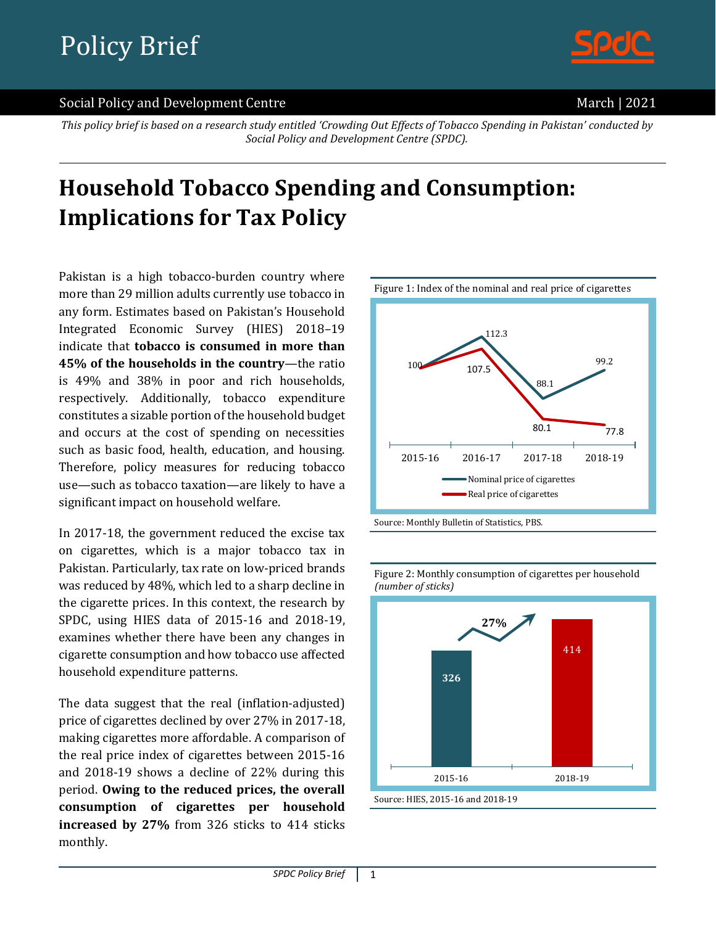

#### Social Policy and Development Centre March 12021

*This policy brief is based on a research study entitled 'Crowding Out Effects of Tobacco Spending in Pakistan' conducted by Social Policy and Development Centre (SPDC).*

# **Household Tobacco Spending and Consumption: Implications for Tax Policy**

Pakistan is a high tobacco-burden country where more than 29 million adults currently use tobacco in any form. Estimates based on Pakistan's Household Integrated Economic Survey (HIES) 2018–19 indicate that **tobacco is consumed in more than 45% of the households in the country**—the ratio is 49% and 38% in poor and rich households, respectively. Additionally, tobacco expenditure constitutes a sizable portion of the household budget and occurs at the cost of spending on necessities such as basic food, health, education, and housing. Therefore, policy measures for reducing tobacco use—such as tobacco taxation—are likely to have a significant impact on household welfare.

In 2017-18, the government reduced the excise tax on cigarettes, which is a major tobacco tax in Pakistan. Particularly, tax rate on low-priced brands was reduced by 48%, which led to a sharp decline in the cigarette prices. In this context, the research by SPDC, using HIES data of 2015-16 and 2018-19, examines whether there have been any changes in cigarette consumption and how tobacco use affected household expenditure patterns.

The data suggest that the real (inflation-adjusted) price of cigarettes declined by over 27% in 2017-18, making cigarettes more affordable. A comparison of the real price index of cigarettes between 2015-16 and 2018-19 shows a decline of 22% during this period. **Owing to the reduced prices, the overall consumption of cigarettes per household increased by 27%** from 326 sticks to 414 sticks monthly.





Figure 2: Monthly consumption of cigarettes per household *(number of sticks)*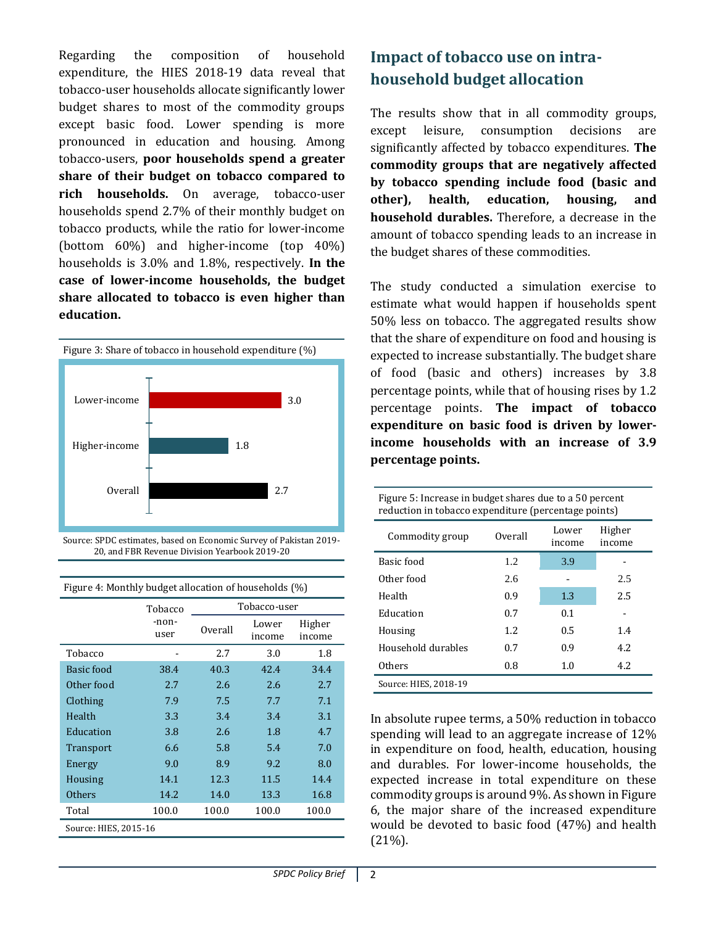Regarding the composition of household expenditure, the HIES 2018-19 data reveal that tobacco-user households allocate significantly lower budget shares to most of the commodity groups except basic food. Lower spending is more pronounced in education and housing. Among tobacco-users, **poor households spend a greater share of their budget on tobacco compared to rich households.** On average, tobacco-user households spend 2.7% of their monthly budget on tobacco products, while the ratio for lower-income (bottom 60%) and higher-income (top 40%) households is 3.0% and 1.8%, respectively. **In the case of lower-income households, the budget share allocated to tobacco is even higher than education.**



Source: SPDC estimates, based on Economic Survey of Pakistan 2019- 20, and FBR Revenue Division Yearbook 2019-20

|                       | Tobacco       | Tobacco-user |                 |                  |  |
|-----------------------|---------------|--------------|-----------------|------------------|--|
|                       | -non-<br>user | Overall      | Lower<br>income | Higher<br>income |  |
| Tobacco               |               | 2.7          | 3.0             | 1.8              |  |
| Basic food            | 38.4          | 40.3         | 42.4            | 34.4             |  |
| Other food            | 2.7           | 2.6          | 2.6             | 2.7              |  |
| Clothing              | 7.9           | 7.5          | 7.7             | 7.1              |  |
| Health                | 3.3           | 3.4          | 3.4             | 3.1              |  |
| Education             | 3.8           | 2.6          | 1.8             | 4.7              |  |
| Transport             | 6.6           | 5.8          | 5.4             | 7.0              |  |
| Energy                | 9.0           | 8.9          | 9.2             | 8.0              |  |
| Housing               | 14.1          | 12.3         | 11.5            | 14.4             |  |
| <b>Others</b>         | 14.2          | 14.0         | 13.3            | 16.8             |  |
| Total                 | 100.0         | 100.0        | 100.0           | 100.0            |  |
| Source: HIES, 2015-16 |               |              |                 |                  |  |

Figure 4: Monthly budget allocation of households (%)

# **Impact of tobacco use on intrahousehold budget allocation**

The results show that in all commodity groups, except leisure, consumption decisions are significantly affected by tobacco expenditures. **The commodity groups that are negatively affected by tobacco spending include food (basic and other), health, education, housing, and household durables.** Therefore, a decrease in the amount of tobacco spending leads to an increase in the budget shares of these commodities.

The study conducted a simulation exercise to estimate what would happen if households spent 50% less on tobacco. The aggregated results show that the share of expenditure on food and housing is expected to increase substantially. The budget share of food (basic and others) increases by 3.8 percentage points, while that of housing rises by 1.2 percentage points. **The impact of tobacco expenditure on basic food is driven by lowerincome households with an increase of 3.9 percentage points.**

| Figure 5: Increase in budget shares due to a 50 percent<br>reduction in tobacco expenditure (percentage points) |         |                 |                  |  |  |  |
|-----------------------------------------------------------------------------------------------------------------|---------|-----------------|------------------|--|--|--|
| Commodity group                                                                                                 | Overall | Lower<br>income | Higher<br>income |  |  |  |
| Basic food                                                                                                      | 1.2     | 3.9             |                  |  |  |  |
| Other food                                                                                                      | 2.6     |                 | 2.5              |  |  |  |
| Health                                                                                                          | 0.9     | 1.3             | 2.5              |  |  |  |
| Education                                                                                                       | 0.7     | 0.1             |                  |  |  |  |
| Housing                                                                                                         | 1.2.    | 0.5             | 1.4              |  |  |  |
| Household durables                                                                                              | 0.7     | 0.9             | 4.2              |  |  |  |
| Others                                                                                                          | 0.8     | 1.0             | 4.2.             |  |  |  |
| Source: HIES, 2018-19                                                                                           |         |                 |                  |  |  |  |

In absolute rupee terms, a 50% reduction in tobacco spending will lead to an aggregate increase of 12% in expenditure on food, health, education, housing and durables. For lower-income households, the expected increase in total expenditure on these commodity groups is around 9%. As shown in Figure 6, the major share of the increased expenditure would be devoted to basic food (47%) and health (21%).